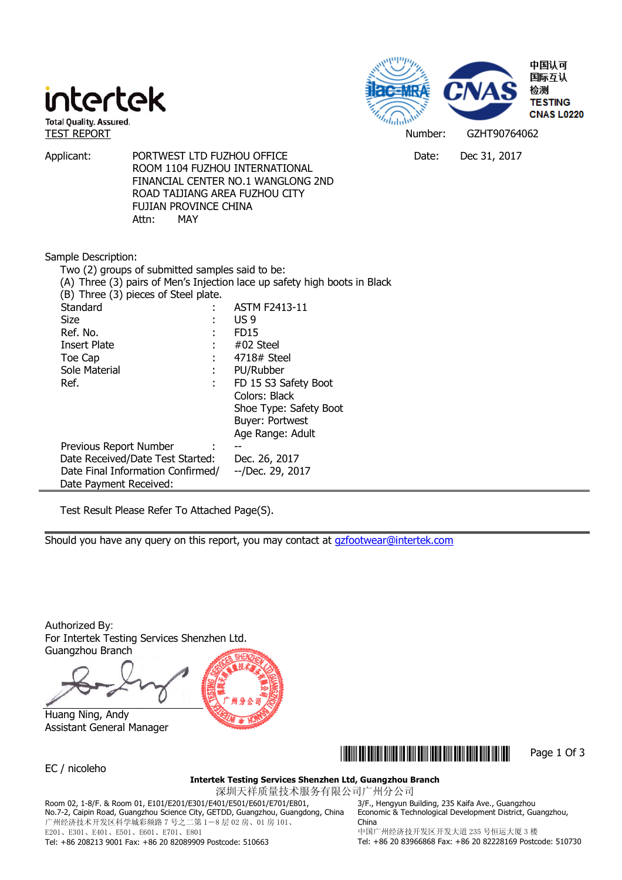



Applicant: PORTWEST LTD FUZHOU OFFICE THE CONSTRUCT Dec 31, 2017

 ROOM 1104 FUZHOU INTERNATIONAL FINANCIAL CENTER NO.1 WANGLONG 2ND ROAD TAIJIANG AREA FUZHOU CITY FUJIAN PROVINCE CHINA Attn: MAY

## Sample Description:

| Two (2) groups of submitted samples said to be:                           |   |                        |  |  |  |  |
|---------------------------------------------------------------------------|---|------------------------|--|--|--|--|
| (A) Three (3) pairs of Men's Injection lace up safety high boots in Black |   |                        |  |  |  |  |
| (B) Three (3) pieces of Steel plate.                                      |   |                        |  |  |  |  |
| Standard                                                                  |   | <b>ASTM F2413-11</b>   |  |  |  |  |
| Size                                                                      |   | US 9                   |  |  |  |  |
| Ref. No.                                                                  |   | FD <sub>15</sub>       |  |  |  |  |
| <b>Insert Plate</b>                                                       |   | #02 Steel              |  |  |  |  |
| Toe Cap                                                                   |   | 4718# Steel            |  |  |  |  |
| Sole Material                                                             | ÷ | PU/Rubber              |  |  |  |  |
| Ref.                                                                      | ÷ | FD 15 S3 Safety Boot   |  |  |  |  |
|                                                                           |   | Colors: Black          |  |  |  |  |
|                                                                           |   | Shoe Type: Safety Boot |  |  |  |  |
|                                                                           |   | Buyer: Portwest        |  |  |  |  |
|                                                                           |   | Age Range: Adult       |  |  |  |  |
| Previous Report Number                                                    |   |                        |  |  |  |  |
| Date Received/Date Test Started:                                          |   | Dec. 26, 2017          |  |  |  |  |
| Date Final Information Confirmed/                                         |   | --/Dec. 29, 2017       |  |  |  |  |
| Date Payment Received:                                                    |   |                        |  |  |  |  |

Test Result Please Refer To Attached Page(S).

Should you have any query on this report, you may contact at **gzfootwear@intertek.com** 

Authorized By: For Intertek Testing Services Shenzhen Ltd. Guangzhou Branch

 Huang Ning, Andy Assistant General Manager





EC / nicoleho

#### **Intertek Testing Services Shenzhen Ltd, Guangzhou Branch**

深圳天祥质量技术服务有限公司广州分公司

Room 02, 1-8/F. & Room 01, E101/E201/E301/E401/E501/E601/E701/E801, No.7-2, Caipin Road, Guangzhou Science City, GETDD, Guangzhou, Guangdong, China 广州经济技术开发区科学城彩频路 7 号之二第 1-8 层 02 房、01 房 101、 E201、E301、E401、E501、E601、E701、E801

3/F., Hengyun Building, 235 Kaifa Ave., Guangzhou Economic & Technological Development District, Guangzhou, China

Tel: +86 208213 9001 Fax: +86 20 82089909 Postcode: 510663

中国广州经济技开发区开发大道 235 号恒运大厦 3 楼 Tel: +86 20 83966868 Fax: +86 20 82228169 Postcode: 510730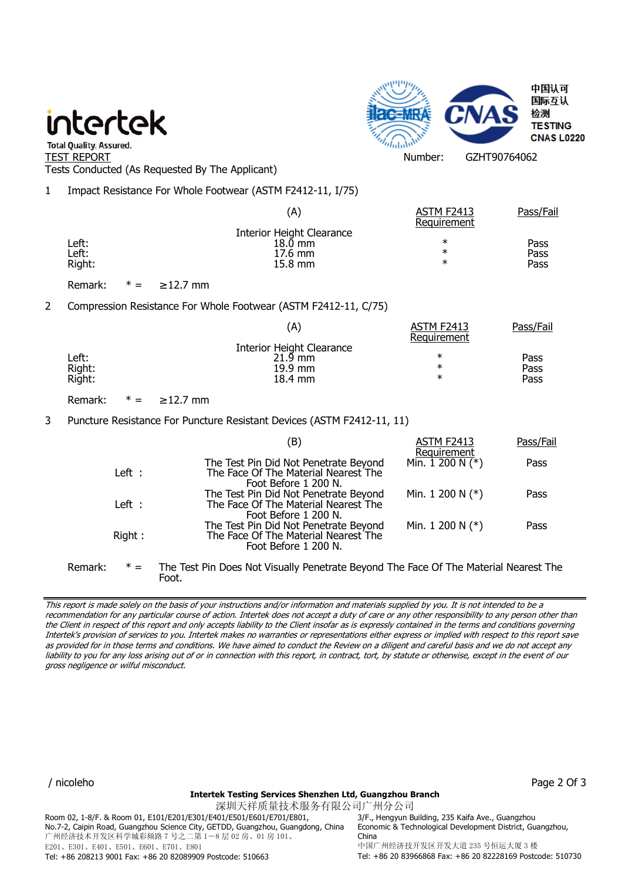# intertek



" Total Quality. Assured.<br>TEST REPORT Number: GZHT90764062 Tests Conducted (As Requested By The Applicant)

1 Impact Resistance For Whole Footwear (ASTM F2412-11, I/75)

|        | (A)                       | <b>ASTM F2413</b><br>Requirement | Pass/Fail |
|--------|---------------------------|----------------------------------|-----------|
|        | Interior Height Clearance |                                  |           |
| ∟eft:  | 18.0 mm                   | $\ast$                           | Pass      |
| Left:  | $17.6 \text{ mm}$         | ∗                                | Pass      |
| Right: | $15.8 \text{ mm}$         | ∗                                | Pass      |
|        |                           |                                  |           |

Remark:  $* = 212.7$  mm

2 Compression Resistance For Whole Footwear (ASTM F2412-11, C/75)

|        | (A)                              | <b>ASTM F2413</b><br>Requirement | Pass/Fail |
|--------|----------------------------------|----------------------------------|-----------|
|        | <b>Interior Height Clearance</b> |                                  |           |
| Left:  | $21.9$ mm                        | ∗                                | Pass      |
| Right: | 19.9 mm                          | $\ast$                           | Pass      |
| Right: | 18.4 mm                          | ∗                                | Pass      |

Remark:  $* = 212.7$  mm

Foot.

## 3 Puncture Resistance For Puncture Resistant Devices (ASTM F2412-11, 11)

|         |        | (B)                                                                                                   | ASTM F2413                       | Pass/Fail |
|---------|--------|-------------------------------------------------------------------------------------------------------|----------------------------------|-----------|
|         | Left : | The Test Pin Did Not Penetrate Beyond<br>The Face Of The Material Nearest The<br>Foot Before 1 200 N. | Requirement<br>Min. $1200 N (*)$ | Pass      |
|         | Left : | The Test Pin Did Not Penetrate Beyond<br>The Face Of The Material Nearest The<br>Foot Before 1 200 N. | Min. 1 200 N $(*)$               | Pass      |
|         | Right: | The Test Pin Did Not Penetrate Beyond<br>The Face Of The Material Nearest The<br>Foot Before 1 200 N. | Min. 1 200 N $(*)$               | Pass      |
| Remark: |        | The Test Pin Does Not Visually Penetrate Beyond The Face Of The Material Nearest The                  |                                  |           |

This report is made solely on the basis of your instructions and/or information and materials supplied by you. It is not intended to be a recommendation for any particular course of action. Intertek does not accept a duty of care or any other responsibility to any person other than the Client in respect of this report and only accepts liability to the Client insofar as is expressly contained in the terms and conditions governing Intertek's provision of services to you. Intertek makes no warranties or representations either express or implied with respect to this report save as provided for in those terms and conditions. We have aimed to conduct the Review on a diligent and careful basis and we do not accept any liability to you for any loss arising out of or in connection with this report, in contract, tort, by statute or otherwise, except in the event of our gross negligence or wilful misconduct.

/ nicoleho Page 2 Of 3

#### **Intertek Testing Services Shenzhen Ltd, Guangzhou Branch**

深圳天祥质量技术服务有限公司广州分公司 Room 02, 1-8/F. & Room 01, E101/E201/E301/E401/E501/E601/E701/E801, No.7-2, Caipin Road, Guangzhou Science City, GETDD, Guangzhou, Guangdong, China 广州经济技术开发区科学城彩频路 7 号之二第 1-8 层 02 房、01 房 101、 E201、E301、E401、E501、E601、E701、E801 Tel: +86 208213 9001 Fax: +86 20 82089909 Postcode: 510663

3/F., Hengyun Building, 235 Kaifa Ave., Guangzhou Economic & Technological Development District, Guangzhou, China 中国广州经济技开发区开发大道 235 号恒运大厦 3 楼 Tel: +86 20 83966868 Fax: +86 20 82228169 Postcode: 510730